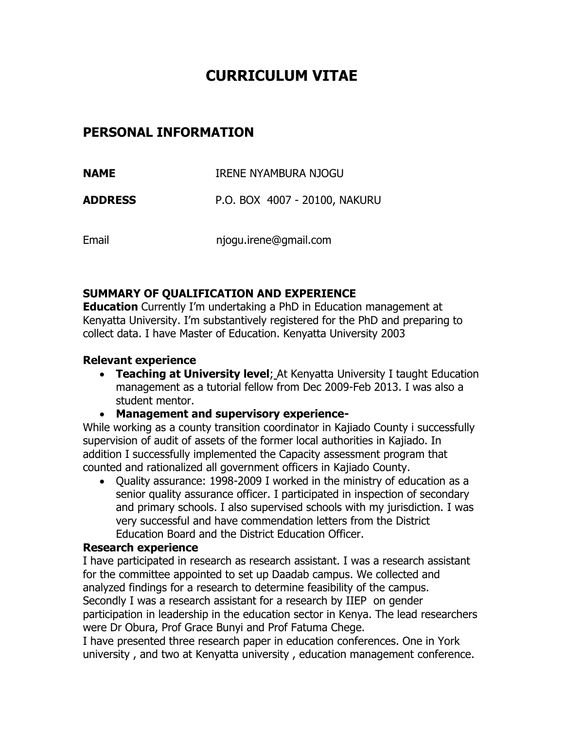# **CURRICULUM VITAE**

## **PERSONAL INFORMATION**

| NAME           | IRENE NYAMBURA NJOGU          |
|----------------|-------------------------------|
| <b>ADDRESS</b> | P.O. BOX 4007 - 20100, NAKURU |

Email njogu.irene@gmail.com

## **SUMMARY OF QUALIFICATION AND EXPERIENCE**

**Education** Currently I'm undertaking a PhD in Education management at Kenyatta University. I'm substantively registered for the PhD and preparing to collect data. I have Master of Education. Kenyatta University 2003

## **Relevant experience**

- **Teaching at University level**; At Kenyatta University I taught Education management as a tutorial fellow from Dec 2009-Feb 2013. I was also a student mentor.
- **Management and supervisory experience-**

While working as a county transition coordinator in Kajiado County i successfully supervision of audit of assets of the former local authorities in Kajiado. In addition I successfully implemented the Capacity assessment program that counted and rationalized all government officers in Kajiado County.

 Quality assurance: 1998-2009 I worked in the ministry of education as a senior quality assurance officer. I participated in inspection of secondary and primary schools. I also supervised schools with my jurisdiction. I was very successful and have commendation letters from the District Education Board and the District Education Officer.

## **Research experience**

I have participated in research as research assistant. I was a research assistant for the committee appointed to set up Daadab campus. We collected and analyzed findings for a research to determine feasibility of the campus. Secondly I was a research assistant for a research by IIEP on gender participation in leadership in the education sector in Kenya. The lead researchers were Dr Obura, Prof Grace Bunyi and Prof Fatuma Chege.

I have presented three research paper in education conferences. One in York university , and two at Kenyatta university , education management conference.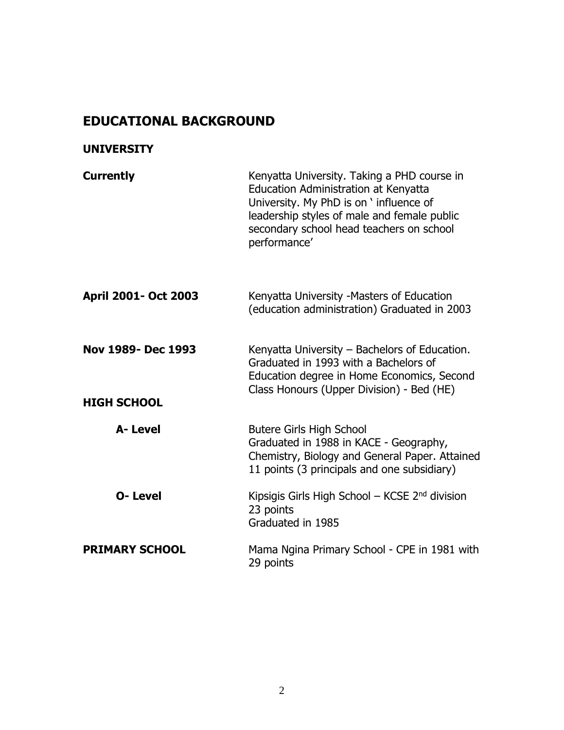# **EDUCATIONAL BACKGROUND**

## **UNIVERSITY**

| <b>Currently</b>                         | Kenyatta University. Taking a PHD course in<br>Education Administration at Kenyatta<br>University. My PhD is on ' influence of<br>leadership styles of male and female public<br>secondary school head teachers on school<br>performance' |
|------------------------------------------|-------------------------------------------------------------------------------------------------------------------------------------------------------------------------------------------------------------------------------------------|
| April 2001- Oct 2003                     | Kenyatta University -Masters of Education<br>(education administration) Graduated in 2003                                                                                                                                                 |
| Nov 1989- Dec 1993<br><b>HIGH SCHOOL</b> | Kenyatta University – Bachelors of Education.<br>Graduated in 1993 with a Bachelors of<br>Education degree in Home Economics, Second<br>Class Honours (Upper Division) - Bed (HE)                                                         |
| A-Level                                  | <b>Butere Girls High School</b><br>Graduated in 1988 in KACE - Geography,<br>Chemistry, Biology and General Paper. Attained<br>11 points (3 principals and one subsidiary)                                                                |
| <b>O-Level</b>                           | Kipsigis Girls High School – KCSE $2nd$ division<br>23 points<br>Graduated in 1985                                                                                                                                                        |
| <b>PRIMARY SCHOOL</b>                    | Mama Ngina Primary School - CPE in 1981 with<br>29 points                                                                                                                                                                                 |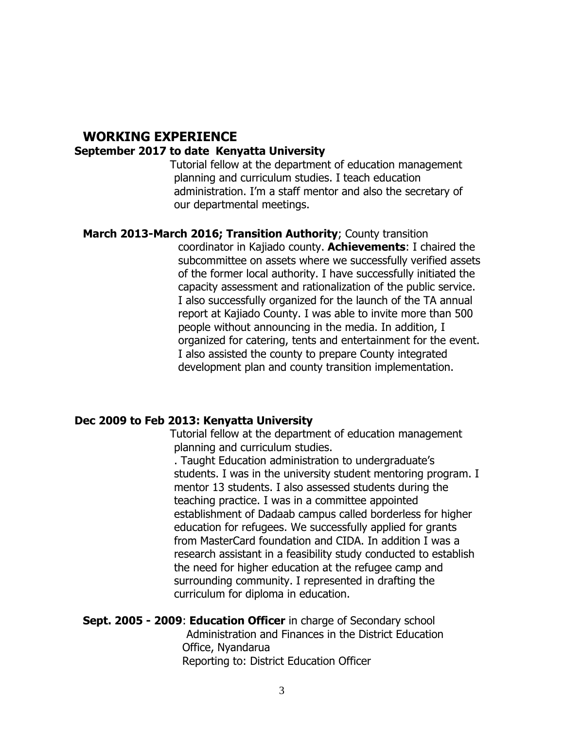#### **WORKING EXPERIENCE September 2017 to date Kenyatta University**

Tutorial fellow at the department of education management planning and curriculum studies. I teach education administration. I'm a staff mentor and also the secretary of our departmental meetings.

### **March 2013-March 2016; Transition Authority**; County transition

coordinator in Kajiado county. **Achievements**: I chaired the subcommittee on assets where we successfully verified assets of the former local authority. I have successfully initiated the capacity assessment and rationalization of the public service. I also successfully organized for the launch of the TA annual report at Kajiado County. I was able to invite more than 500 people without announcing in the media. In addition, I organized for catering, tents and entertainment for the event. I also assisted the county to prepare County integrated development plan and county transition implementation.

#### **Dec 2009 to Feb 2013: Kenyatta University**

Tutorial fellow at the department of education management planning and curriculum studies.

. Taught Education administration to undergraduate's students. I was in the university student mentoring program. I mentor 13 students. I also assessed students during the teaching practice. I was in a committee appointed establishment of Dadaab campus called borderless for higher education for refugees. We successfully applied for grants from MasterCard foundation and CIDA. In addition I was a research assistant in a feasibility study conducted to establish the need for higher education at the refugee camp and surrounding community. I represented in drafting the curriculum for diploma in education.

#### **Sept. 2005 - 2009**: **Education Officer** in charge of Secondary school Administration and Finances in the District Education Office, Nyandarua Reporting to: District Education Officer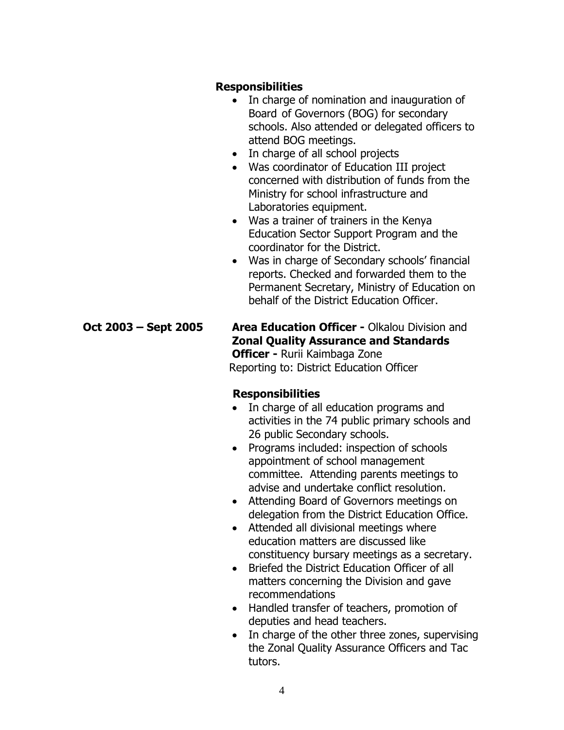#### **Responsibilities**

- In charge of nomination and inauguration of Board of Governors (BOG) for secondary schools. Also attended or delegated officers to attend BOG meetings.
- In charge of all school projects
- Was coordinator of Education III project concerned with distribution of funds from the Ministry for school infrastructure and Laboratories equipment.
- Was a trainer of trainers in the Kenya Education Sector Support Program and the coordinator for the District.
- Was in charge of Secondary schools' financial reports. Checked and forwarded them to the Permanent Secretary, Ministry of Education on behalf of the District Education Officer.

**Oct 2003 – Sept 2005 Area Education Officer -** Olkalou Division and **Zonal Quality Assurance and Standards Officer -** Rurii Kaimbaga Zone Reporting to: District Education Officer

## **Responsibilities**

- In charge of all education programs and activities in the 74 public primary schools and 26 public Secondary schools.
- Programs included: inspection of schools appointment of school management committee. Attending parents meetings to advise and undertake conflict resolution.
- Attending Board of Governors meetings on delegation from the District Education Office.
- Attended all divisional meetings where education matters are discussed like constituency bursary meetings as a secretary.
- Briefed the District Education Officer of all matters concerning the Division and gave recommendations
- Handled transfer of teachers, promotion of deputies and head teachers.
- In charge of the other three zones, supervising the Zonal Quality Assurance Officers and Tac tutors.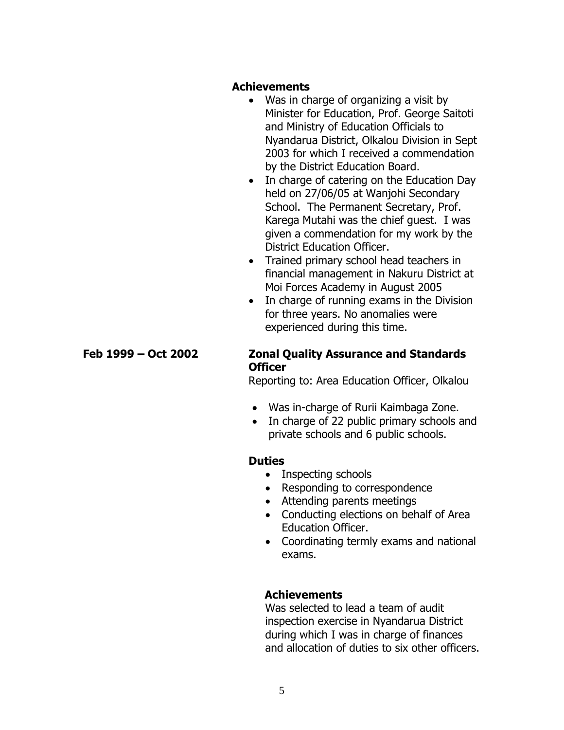#### **Achievements**

- Was in charge of organizing a visit by Minister for Education, Prof. George Saitoti and Ministry of Education Officials to Nyandarua District, Olkalou Division in Sept 2003 for which I received a commendation by the District Education Board.
- In charge of catering on the Education Day held on 27/06/05 at Wanjohi Secondary School. The Permanent Secretary, Prof. Karega Mutahi was the chief guest. I was given a commendation for my work by the District Education Officer.
- Trained primary school head teachers in financial management in Nakuru District at Moi Forces Academy in August 2005
- In charge of running exams in the Division for three years. No anomalies were experienced during this time.

## **Feb 1999 – Oct 2002 Zonal Quality Assurance and Standards Officer**

Reporting to: Area Education Officer, Olkalou

- Was in-charge of Rurii Kaimbaga Zone.
- In charge of 22 public primary schools and private schools and 6 public schools.

## **Duties**

- Inspecting schools
- Responding to correspondence
- Attending parents meetings
- Conducting elections on behalf of Area Education Officer.
- Coordinating termly exams and national exams.

## **Achievements**

Was selected to lead a team of audit inspection exercise in Nyandarua District during which I was in charge of finances and allocation of duties to six other officers.